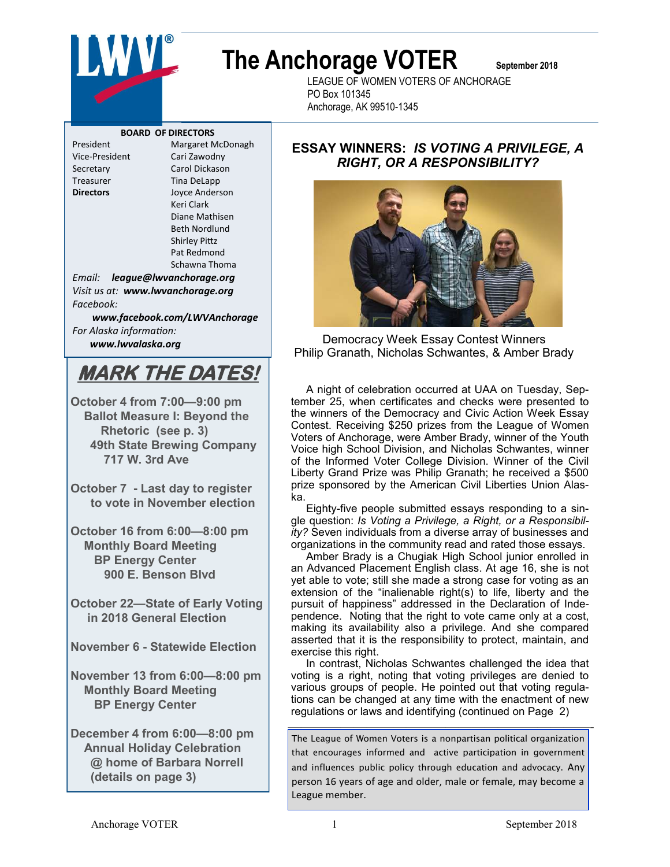

# **The Anchorage VOTER September 2018**

LEAGUE OF WOMEN VOTERS OF ANCHORAGE PO Box 101345 Anchorage, AK 99510-1345

#### **BOARD OF DIRECTORS**

Treasurer Tina DeLapp

President Margaret McDonagh Vice-President Cari Zawodny Secretary Carol Dickason **Directors** Joyce Anderson Keri Clark Diane Mathisen Beth Nordlund Shirley Pittz Pat Redmond

Schawna Thoma

*Email: league@lwvanchorage.org Visit us at: www.lwvanchorage.org Facebook:* 

*www.facebook.com/LWVAnchorage For Alaska information: www.lwvalaska.org*

## **MARK THE DATES!**

**October 4 from 7:00—9:00 pm Ballot Measure I: Beyond the Rhetoric (see p. 3) 49th State Brewing Company 717 W. 3rd Ave**

**October 7 - Last day to register to vote in November election**

**October 16 from 6:00—8:00 pm Monthly Board Meeting BP Energy Center 900 E. Benson Blvd**

**October 22—State of Early Voting in 2018 General Election**

**November 6 - Statewide Election**

**November 13 from 6:00—8:00 pm Monthly Board Meeting BP Energy Center**

**December 4 from 6:00—8:00 pm Annual Holiday Celebration @ home of Barbara Norrell (details on page 3)** 

## **ESSAY WINNERS:** *IS VOTING A PRIVILEGE, A RIGHT, OR A RESPONSIBILITY?*



Democracy Week Essay Contest Winners Philip Granath, Nicholas Schwantes, & Amber Brady

 A night of celebration occurred at UAA on Tuesday, September 25, when certificates and checks were presented to the winners of the Democracy and Civic Action Week Essay Contest. Receiving \$250 prizes from the League of Women Voters of Anchorage, were Amber Brady, winner of the Youth Voice high School Division, and Nicholas Schwantes, winner of the Informed Voter College Division. Winner of the Civil Liberty Grand Prize was Philip Granath; he received a \$500 prize sponsored by the American Civil Liberties Union Alaska.

 Eighty-five people submitted essays responding to a single question: *Is Voting a Privilege, a Right, or a Responsibility?* Seven individuals from a diverse array of businesses and organizations in the community read and rated those essays.

 Amber Brady is a Chugiak High School junior enrolled in an Advanced Placement English class. At age 16, she is not yet able to vote; still she made a strong case for voting as an extension of the "inalienable right(s) to life, liberty and the pursuit of happiness" addressed in the Declaration of Independence. Noting that the right to vote came only at a cost, making its availability also a privilege. And she compared asserted that it is the responsibility to protect, maintain, and exercise this right.

 In contrast, Nicholas Schwantes challenged the idea that voting is a right, noting that voting privileges are denied to various groups of people. He pointed out that voting regulations can be changed at any time with the enactment of new regulations or laws and identifying (continued on Page 2)

———————————————————————- The League of Women Voters is a nonpartisan political organization that encourages informed and active participation in government

and influences public policy through education and advocacy. Any person 16 years of age and older, male or female, may become a League member.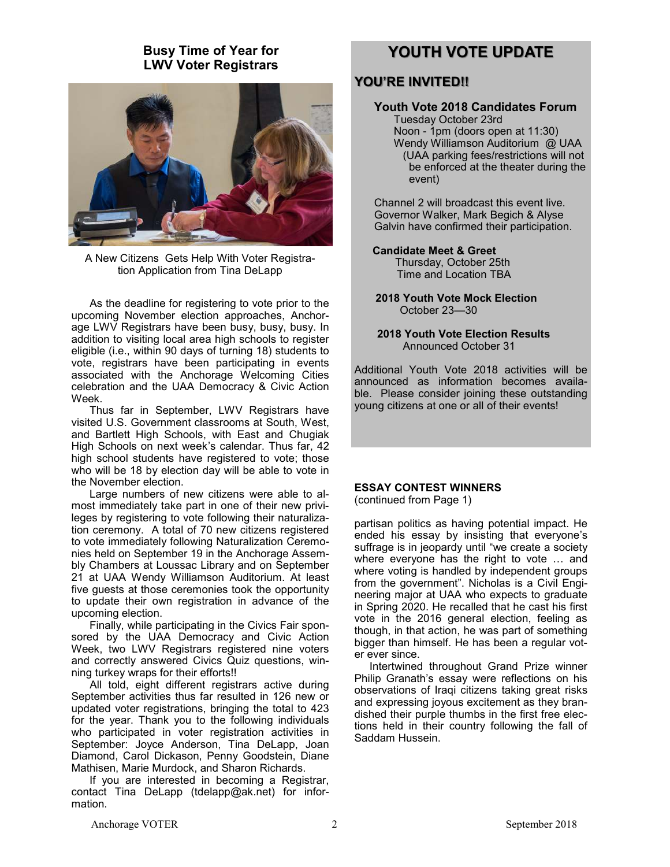## **Busy Time of Year for LWV Voter Registrars**



A New Citizens Gets Help With Voter Registration Application from Tina DeLapp

 As the deadline for registering to vote prior to the upcoming November election approaches, Anchorage LWV Registrars have been busy, busy, busy. In addition to visiting local area high schools to register eligible (i.e., within 90 days of turning 18) students to vote, registrars have been participating in events associated with the Anchorage Welcoming Cities celebration and the UAA Democracy & Civic Action Week.

 Thus far in September, LWV Registrars have visited U.S. Government classrooms at South, West, and Bartlett High Schools, with East and Chugiak High Schools on next week's calendar. Thus far, 42 high school students have registered to vote; those who will be 18 by election day will be able to vote in the November election.

 Large numbers of new citizens were able to almost immediately take part in one of their new privileges by registering to vote following their naturalization ceremony. A total of 70 new citizens registered to vote immediately following Naturalization Ceremonies held on September 19 in the Anchorage Assembly Chambers at Loussac Library and on September 21 at UAA Wendy Williamson Auditorium. At least five guests at those ceremonies took the opportunity to update their own registration in advance of the upcoming election.

 Finally, while participating in the Civics Fair sponsored by the UAA Democracy and Civic Action Week, two LWV Registrars registered nine voters and correctly answered Civics Quiz questions, winning turkey wraps for their efforts!!

 All told, eight different registrars active during September activities thus far resulted in 126 new or updated voter registrations, bringing the total to 423 for the year. Thank you to the following individuals who participated in voter registration activities in September: Joyce Anderson, Tina DeLapp, Joan Diamond, Carol Dickason, Penny Goodstein, Diane Mathisen, Marie Murdock, and Sharon Richards.

 If you are interested in becoming a Registrar, contact Tina DeLapp (tdelapp@ak.net) for information.

## **YOUTH VOTE UPDATE**

## **YOU'RE INVITED!!**

#### **Youth Vote 2018 Candidates Forum** Tuesday October 23rd Noon - 1pm (doors open at 11:30) Wendy Williamson Auditorium @ UAA (UAA parking fees/restrictions will not be enforced at the theater during the event)

Channel 2 will broadcast this event live. Governor Walker, Mark Begich & Alyse Galvin have confirmed their participation.

#### **Candidate Meet & Greet**

Thursday, October 25th Time and Location TBA

 **2018 Youth Vote Mock Election** October 23—30

 **2018 Youth Vote Election Results**  Announced October 31

Additional Youth Vote 2018 activities will be announced as information becomes available. Please consider joining these outstanding young citizens at one or all of their events!

#### **ESSAY CONTEST WINNERS**

(continued from Page 1)

partisan politics as having potential impact. He ended his essay by insisting that everyone's suffrage is in jeopardy until "we create a society where everyone has the right to vote … and where voting is handled by independent groups from the government". Nicholas is a Civil Engineering major at UAA who expects to graduate in Spring 2020. He recalled that he cast his first vote in the 2016 general election, feeling as though, in that action, he was part of something bigger than himself. He has been a regular voter ever since.

 Intertwined throughout Grand Prize winner Philip Granath's essay were reflections on his observations of Iraqi citizens taking great risks and expressing joyous excitement as they brandished their purple thumbs in the first free elections held in their country following the fall of Saddam Hussein.